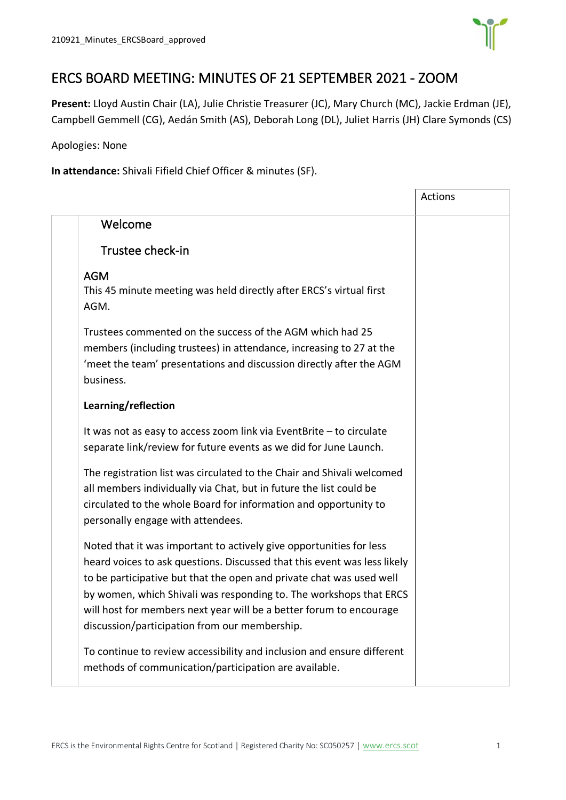

## ERCS BOARD MEETING: MINUTES OF 21 SEPTEMBER 2021 - ZOOM

**Present:** Lloyd Austin Chair (LA), Julie Christie Treasurer (JC), Mary Church (MC), Jackie Erdman (JE), Campbell Gemmell (CG), Aedán Smith (AS), Deborah Long (DL), Juliet Harris (JH) Clare Symonds (CS)

Apologies: None

**In attendance:** Shivali Fifield Chief Officer & minutes (SF).

|                                                                                                                                                                                                                                                                                                                                                                                                                       | <b>Actions</b> |
|-----------------------------------------------------------------------------------------------------------------------------------------------------------------------------------------------------------------------------------------------------------------------------------------------------------------------------------------------------------------------------------------------------------------------|----------------|
| Welcome                                                                                                                                                                                                                                                                                                                                                                                                               |                |
| Trustee check-in                                                                                                                                                                                                                                                                                                                                                                                                      |                |
| <b>AGM</b><br>This 45 minute meeting was held directly after ERCS's virtual first<br>AGM.                                                                                                                                                                                                                                                                                                                             |                |
| Trustees commented on the success of the AGM which had 25<br>members (including trustees) in attendance, increasing to 27 at the<br>'meet the team' presentations and discussion directly after the AGM<br>business.                                                                                                                                                                                                  |                |
| Learning/reflection                                                                                                                                                                                                                                                                                                                                                                                                   |                |
| It was not as easy to access zoom link via EventBrite - to circulate<br>separate link/review for future events as we did for June Launch.                                                                                                                                                                                                                                                                             |                |
| The registration list was circulated to the Chair and Shivali welcomed<br>all members individually via Chat, but in future the list could be<br>circulated to the whole Board for information and opportunity to<br>personally engage with attendees.                                                                                                                                                                 |                |
| Noted that it was important to actively give opportunities for less<br>heard voices to ask questions. Discussed that this event was less likely<br>to be participative but that the open and private chat was used well<br>by women, which Shivali was responding to. The workshops that ERCS<br>will host for members next year will be a better forum to encourage<br>discussion/participation from our membership. |                |
| To continue to review accessibility and inclusion and ensure different<br>methods of communication/participation are available.                                                                                                                                                                                                                                                                                       |                |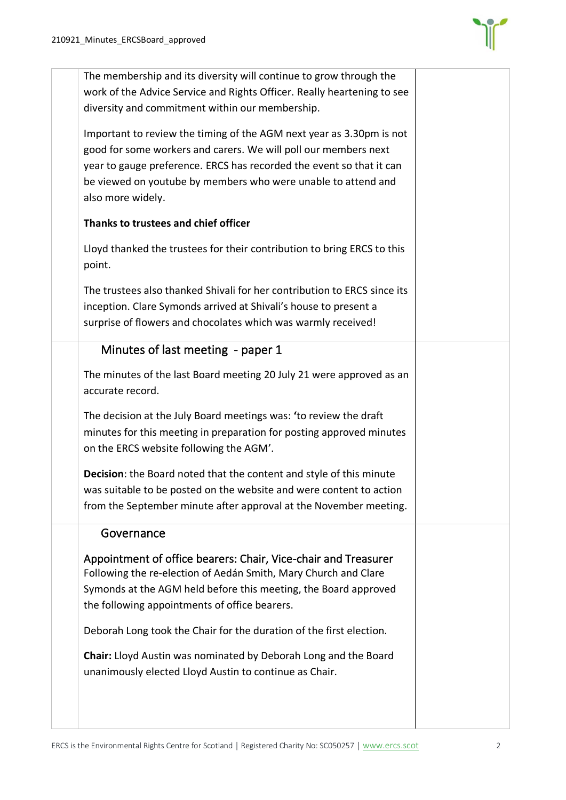

| The membership and its diversity will continue to grow through the<br>work of the Advice Service and Rights Officer. Really heartening to see<br>diversity and commitment within our membership.                                                                                                      |  |
|-------------------------------------------------------------------------------------------------------------------------------------------------------------------------------------------------------------------------------------------------------------------------------------------------------|--|
| Important to review the timing of the AGM next year as 3.30pm is not<br>good for some workers and carers. We will poll our members next<br>year to gauge preference. ERCS has recorded the event so that it can<br>be viewed on youtube by members who were unable to attend and<br>also more widely. |  |
| Thanks to trustees and chief officer                                                                                                                                                                                                                                                                  |  |
| Lloyd thanked the trustees for their contribution to bring ERCS to this<br>point.                                                                                                                                                                                                                     |  |
| The trustees also thanked Shivali for her contribution to ERCS since its<br>inception. Clare Symonds arrived at Shivali's house to present a<br>surprise of flowers and chocolates which was warmly received!                                                                                         |  |
| Minutes of last meeting - paper 1                                                                                                                                                                                                                                                                     |  |
| The minutes of the last Board meeting 20 July 21 were approved as an<br>accurate record.                                                                                                                                                                                                              |  |
| The decision at the July Board meetings was: 'to review the draft<br>minutes for this meeting in preparation for posting approved minutes<br>on the ERCS website following the AGM'.                                                                                                                  |  |
| Decision: the Board noted that the content and style of this minute<br>was suitable to be posted on the website and were content to action<br>from the September minute after approval at the November meeting.                                                                                       |  |
| Governance                                                                                                                                                                                                                                                                                            |  |
| Appointment of office bearers: Chair, Vice-chair and Treasurer<br>Following the re-election of Aedán Smith, Mary Church and Clare<br>Symonds at the AGM held before this meeting, the Board approved<br>the following appointments of office bearers.                                                 |  |
| Deborah Long took the Chair for the duration of the first election.                                                                                                                                                                                                                                   |  |
| Chair: Lloyd Austin was nominated by Deborah Long and the Board<br>unanimously elected Lloyd Austin to continue as Chair.                                                                                                                                                                             |  |
|                                                                                                                                                                                                                                                                                                       |  |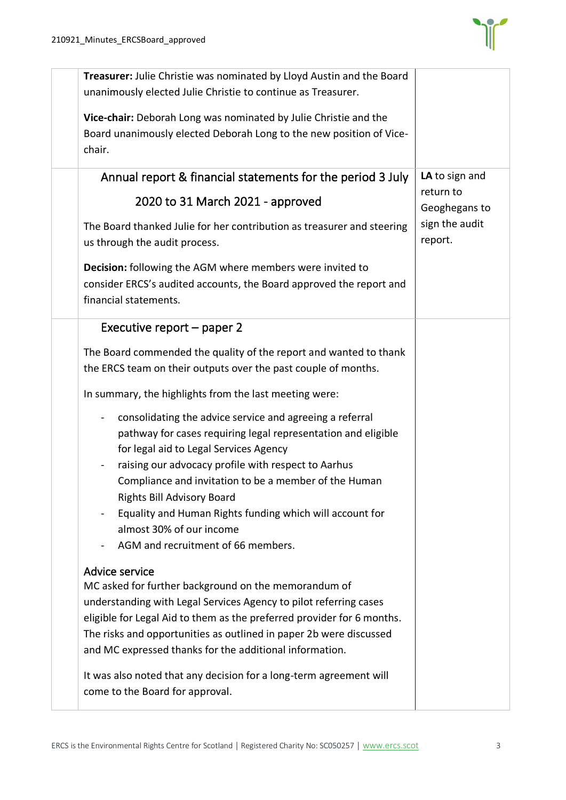

| Treasurer: Julie Christie was nominated by Lloyd Austin and the Board<br>unanimously elected Julie Christie to continue as Treasurer.                                                                                                                                                                                                                                                                                                                                                                                                                                                                                                                                                                                                                                                                                                                                                                                                                                                                                                                                                                                                                               |                                                                           |
|---------------------------------------------------------------------------------------------------------------------------------------------------------------------------------------------------------------------------------------------------------------------------------------------------------------------------------------------------------------------------------------------------------------------------------------------------------------------------------------------------------------------------------------------------------------------------------------------------------------------------------------------------------------------------------------------------------------------------------------------------------------------------------------------------------------------------------------------------------------------------------------------------------------------------------------------------------------------------------------------------------------------------------------------------------------------------------------------------------------------------------------------------------------------|---------------------------------------------------------------------------|
| Vice-chair: Deborah Long was nominated by Julie Christie and the<br>Board unanimously elected Deborah Long to the new position of Vice-<br>chair.                                                                                                                                                                                                                                                                                                                                                                                                                                                                                                                                                                                                                                                                                                                                                                                                                                                                                                                                                                                                                   |                                                                           |
| Annual report & financial statements for the period 3 July<br>2020 to 31 March 2021 - approved<br>The Board thanked Julie for her contribution as treasurer and steering<br>us through the audit process.<br>Decision: following the AGM where members were invited to<br>consider ERCS's audited accounts, the Board approved the report and<br>financial statements.                                                                                                                                                                                                                                                                                                                                                                                                                                                                                                                                                                                                                                                                                                                                                                                              | LA to sign and<br>return to<br>Geoghegans to<br>sign the audit<br>report. |
| Executive report – paper 2<br>The Board commended the quality of the report and wanted to thank<br>the ERCS team on their outputs over the past couple of months.<br>In summary, the highlights from the last meeting were:<br>consolidating the advice service and agreeing a referral<br>$\blacksquare$<br>pathway for cases requiring legal representation and eligible<br>for legal aid to Legal Services Agency<br>raising our advocacy profile with respect to Aarhus<br>Compliance and invitation to be a member of the Human<br>Rights Bill Advisory Board<br>Equality and Human Rights funding which will account for<br>almost 30% of our income<br>AGM and recruitment of 66 members.<br>Advice service<br>MC asked for further background on the memorandum of<br>understanding with Legal Services Agency to pilot referring cases<br>eligible for Legal Aid to them as the preferred provider for 6 months.<br>The risks and opportunities as outlined in paper 2b were discussed<br>and MC expressed thanks for the additional information.<br>It was also noted that any decision for a long-term agreement will<br>come to the Board for approval. |                                                                           |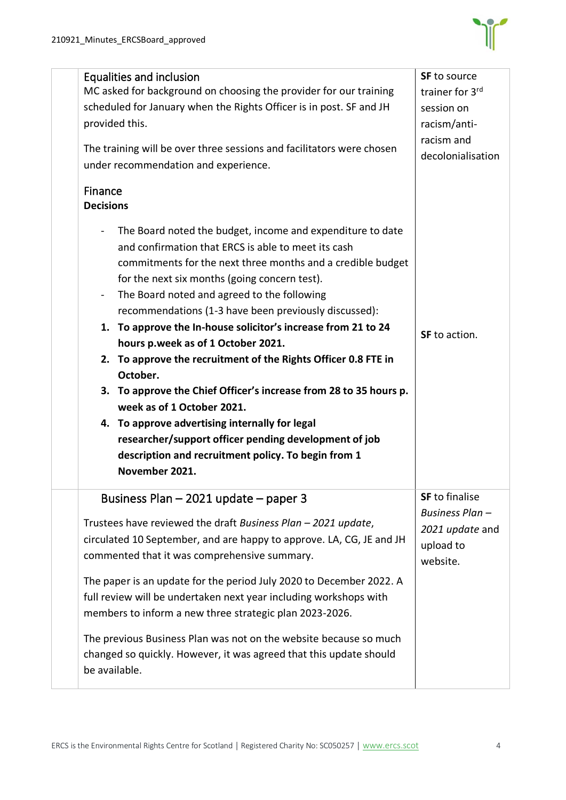

| Equalities and inclusion<br>MC asked for background on choosing the provider for our training<br>scheduled for January when the Rights Officer is in post. SF and JH<br>provided this.<br>The training will be over three sessions and facilitators were chosen<br>under recommendation and experience.                                                                                                                                                                                                                                                                                                                                                                                                                                                                                                                                                                | <b>SF</b> to source<br>trainer for 3rd<br>session on<br>racism/anti-<br>racism and<br>decolonialisation |
|------------------------------------------------------------------------------------------------------------------------------------------------------------------------------------------------------------------------------------------------------------------------------------------------------------------------------------------------------------------------------------------------------------------------------------------------------------------------------------------------------------------------------------------------------------------------------------------------------------------------------------------------------------------------------------------------------------------------------------------------------------------------------------------------------------------------------------------------------------------------|---------------------------------------------------------------------------------------------------------|
| Finance<br><b>Decisions</b><br>The Board noted the budget, income and expenditure to date<br>and confirmation that ERCS is able to meet its cash<br>commitments for the next three months and a credible budget<br>for the next six months (going concern test).<br>The Board noted and agreed to the following<br>$\blacksquare$<br>recommendations (1-3 have been previously discussed):<br>1. To approve the In-house solicitor's increase from 21 to 24<br>hours p.week as of 1 October 2021.<br>2. To approve the recruitment of the Rights Officer 0.8 FTE in<br>October.<br>3. To approve the Chief Officer's increase from 28 to 35 hours p.<br>week as of 1 October 2021.<br>4. To approve advertising internally for legal<br>researcher/support officer pending development of job<br>description and recruitment policy. To begin from 1<br>November 2021. | SF to action.                                                                                           |
| Business Plan - 2021 update - paper 3<br>Trustees have reviewed the draft Business Plan - 2021 update,<br>circulated 10 September, and are happy to approve. LA, CG, JE and JH<br>commented that it was comprehensive summary.<br>The paper is an update for the period July 2020 to December 2022. A<br>full review will be undertaken next year including workshops with<br>members to inform a new three strategic plan 2023-2026.<br>The previous Business Plan was not on the website because so much<br>changed so quickly. However, it was agreed that this update should<br>be available.                                                                                                                                                                                                                                                                      | <b>SF</b> to finalise<br>Business Plan -<br>2021 update and<br>upload to<br>website.                    |